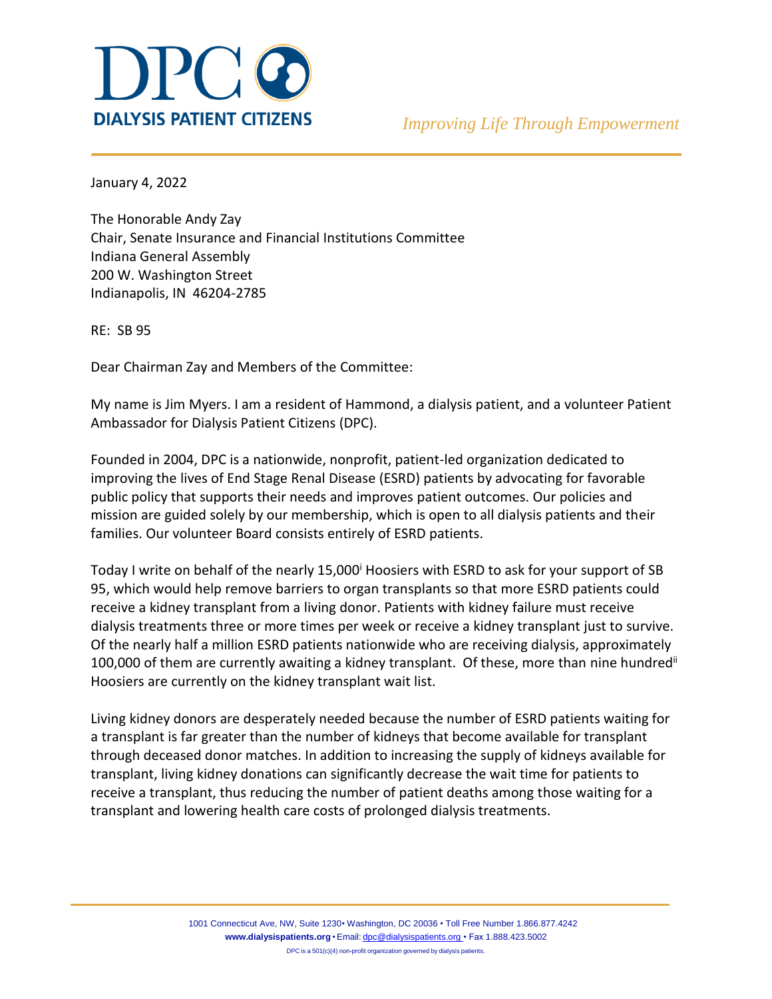

January 4, 2022

The Honorable Andy Zay Chair, Senate Insurance and Financial Institutions Committee Indiana General Assembly 200 W. Washington Street Indianapolis, IN 46204-2785

RE: SB 95

Dear Chairman Zay and Members of the Committee:

My name is Jim Myers. I am a resident of Hammond, a dialysis patient, and a volunteer Patient Ambassador for Dialysis Patient Citizens (DPC).

Founded in 2004, DPC is a nationwide, nonprofit, patient-led organization dedicated to improving the lives of End Stage Renal Disease (ESRD) patients by advocating for favorable public policy that supports their needs and improves patient outcomes. Our policies and mission are guided solely by our membership, which is open to all dialysis patients and their families. Our volunteer Board consists entirely of ESRD patients.

Today I write on behalf of the nearly 15,000<sup>i</sup> Hoosiers with ESRD to ask for your support of SB 95, which would help remove barriers to organ transplants so that more ESRD patients could receive a kidney transplant from a living donor. Patients with kidney failure must receive dialysis treatments three or more times per week or receive a kidney transplant just to survive. Of the nearly half a million ESRD patients nationwide who are receiving dialysis, approximately 100,000 of them are currently awaiting a kidney transplant. Of these, more than nine hundred<sup>ii</sup> Hoosiers are currently on the kidney transplant wait list.

Living kidney donors are desperately needed because the number of ESRD patients waiting for a transplant is far greater than the number of kidneys that become available for transplant through deceased donor matches. In addition to increasing the supply of kidneys available for transplant, living kidney donations can significantly decrease the wait time for patients to receive a transplant, thus reducing the number of patient deaths among those waiting for a transplant and lowering health care costs of prolonged dialysis treatments.